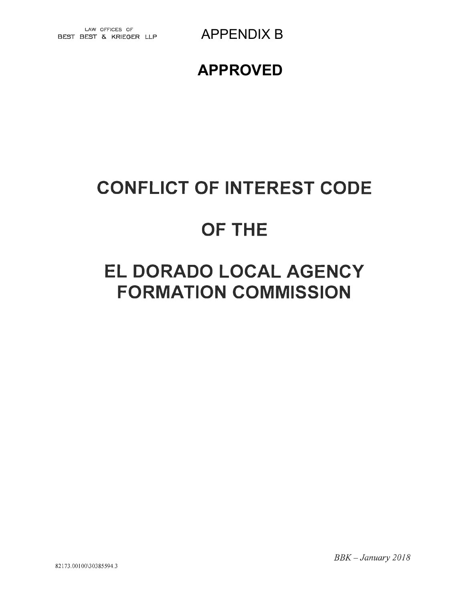### APPENDIX B

## **APPROVED**

## BEST BEST & KRIEGER LLP

## **CONFLICT OF INTEREST CODE**

# **OF THE**

# **ELDORADO LOCAL AGENCY FORMATION COMMISSION**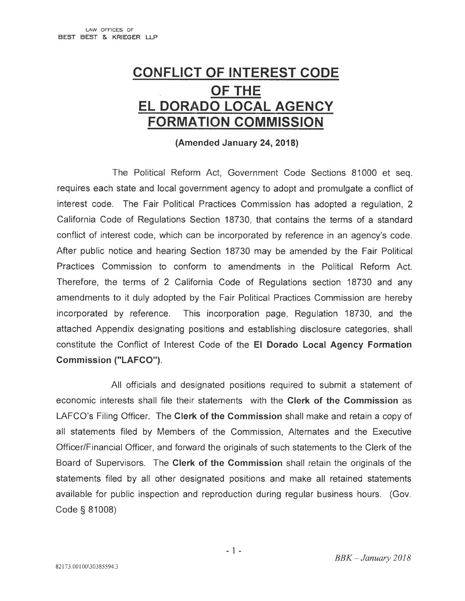## **CONFLICT OF INTEREST CODE OF THE EL DORADO LOCAL AGENCY FORMATION COMMISSION**

**(Amended January 24, 2018)** 

The Political Reform Act, Government Code Sections 81000 et seq. requires each state and local government agency to adopt and promulgate a conflict of interest code. The Fair Political Practices Commission has adopted a regulation, 2 California Code of Regulations Section 18730, that contains the terms of a standard conflict of interest code, which can be incorporated by reference in an agency's code. After public notice and hearing Section 18730 may be amended by the Fair Political Practices Commission to conform to amendments in the Political Reform Act. Therefore, the terms of 2 California Code of Regulations section 18730 and any amendments to it duly adopted by the Fair Political Practices Commission are hereby incorporated by reference. This incorporation page, Regulation 18730, and the attached Appendix designating positions and establishing disclosure categories, shall constitute the Conflict of Interest Code of the **El Dorado Local Agency Formation Commission ("LAFCO").** 

All officials and designated positions required to submit a statement of economic interests shall file their statements with the **Clerk of the Commission** as LAFCO's Filing Officer. The **Clerk of the Commission** shall make and retain a copy of all statements filed by Members of the Commission, Alternates and the Executive Officer/Financial Officer, and forward the originals of such statements to the Clerk of the Board of Supervisors. The **Clerk of the Commission** shall retain the originals of the statements filed by all other designated positions and make all retained statements available for public inspection and reproduction during regular business hours. (Gov. Code § 81008)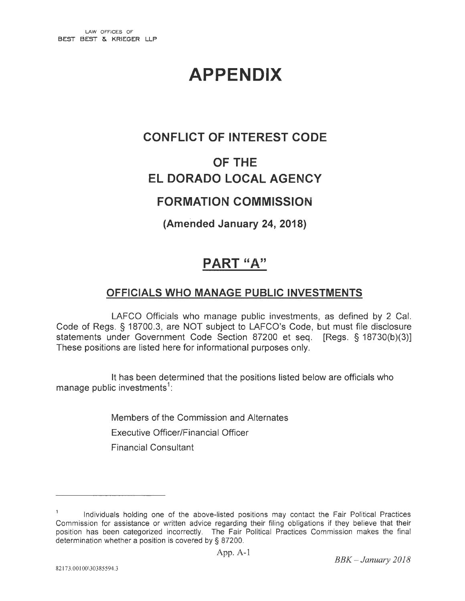## **APPENDIX**

#### **CONFLICT OF INTEREST CODE**

### **OF THE EL DORADO LOCAL AGENCY**

#### **FORMATION COMMISSION**

**(Amended January 24, 2018)** 

### **PART "A"**

#### **OFFICIALS WHO MANAGE PUBLIC INVESTMENTS**

LAFCO Officials who manage public investments, as defined by 2 Cal. Code of Regs. § 18700.3, are NOT subject to LAFCO's Code, but must file disclosure statements under Government Code Section 87200 et seq. [Regs. § 18730(b)(3)] These positions are listed here for informational purposes only.

It has been determined that the positions listed below are officials who manage public investments<sup>1</sup>:

> Members of the Commission and Alternates Executive Officer/Financial Officer Financial Consultant

Individuals holding one of the above-listed positions may contact the Fair Political Practices Commission for assistance or written advice regarding their filing obligations if they believe that their position has been categorized incorrectly. The Fair Political Practices Commission makes the final determination whether a position is covered by § 87200.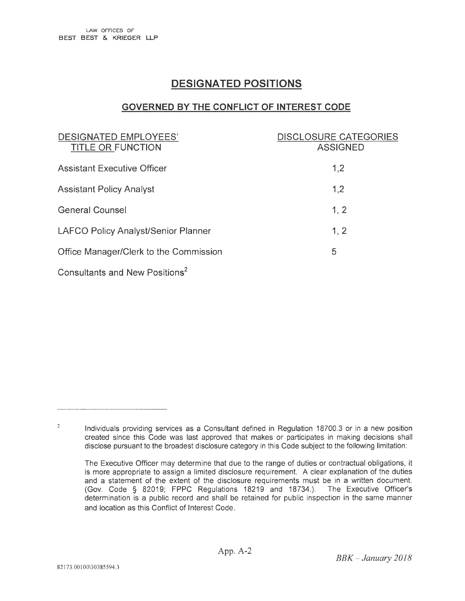#### **DESIGNATED POSITIONS**

#### **GOVERNED BY THE CONFLICT OF INTEREST CODE**

| DESIGNATED EMPLOYEES'<br><b>TITLE OR FUNCTION</b> | <b>DISCLOSURE CATEGORIES</b><br><b>ASSIGNED</b> |
|---------------------------------------------------|-------------------------------------------------|
| <b>Assistant Executive Officer</b>                | 1,2                                             |
| <b>Assistant Policy Analyst</b>                   | 1,2                                             |
| <b>General Counsel</b>                            | 1, 2                                            |
| LAFCO Policy Analyst/Senior Planner               | 1, 2                                            |
| Office Manager/Clerk to the Commission            | 5                                               |
| Consultants and New Positions <sup>2</sup>        |                                                 |

 $\sqrt{2}$ Individuals providing services as a Consultant defined in Regulation 18700.3 or in a new position created since this Code was last approved that makes or participates in making decisions shall disclose pursuant to the broadest disclosure category in this Code subject to the following limitation:

The Executive Officer may determine that due to the range of duties or contractual obligations, it is more appropriate to assign a limited disclosure requirement. A clear explanation of the duties and a statement of the extent of the disclosure requirements must be in a written document. (Gov. Code § 82019; FPPC Regulations 18219 and 18734.). The Executive Officer's determination is a public record and shall be retained for public inspection in the same manner and location as this Conflict of Interest Code.